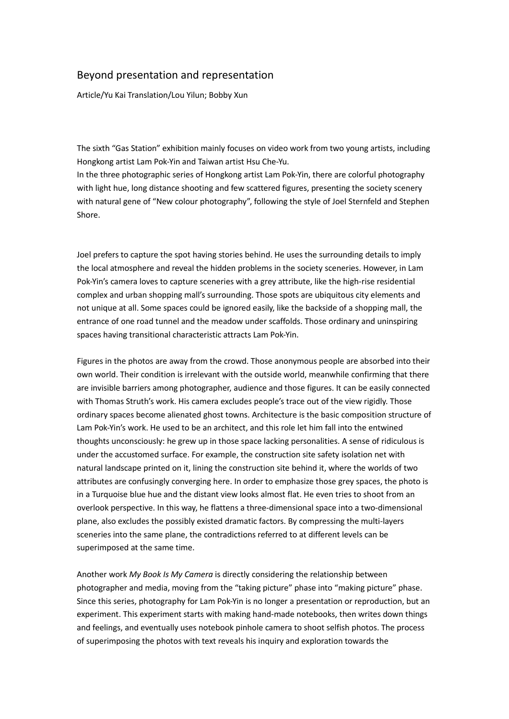## Beyond presentation and representation

Article/Yu Kai Translation/Lou Yilun; Bobby Xun

The sixth "Gas Station" exhibition mainly focuses on video work from two young artists, including Hongkong artist Lam Pok-Yin and Taiwan artist Hsu Che-Yu.

In the three photographic series of Hongkong artist Lam Pok-Yin, there are colorful photography with light hue, long distance shooting and few scattered figures, presenting the society scenery with natural gene of "New colour photography", following the style of Joel Sternfeld and Stephen Shore.

Joel prefers to capture the spot having stories behind. He uses the surrounding details to imply the local atmosphere and reveal the hidden problems in the society sceneries. However, in Lam Pok-Yin's camera loves to capture sceneries with a grey attribute, like the high-rise residential complex and urban shopping mall's surrounding. Those spots are ubiquitous city elements and not unique at all. Some spaces could be ignored easily, like the backside of a shopping mall, the entrance of one road tunnel and the meadow under scaffolds. Those ordinary and uninspiring spaces having transitional characteristic attracts Lam Pok-Yin.

Figures in the photos are away from the crowd. Those anonymous people are absorbed into their own world. Their condition is irrelevant with the outside world, meanwhile confirming that there are invisible barriers among photographer, audience and those figures. It can be easily connected with Thomas Struth's work. His camera excludes people's trace out of the view rigidly. Those ordinary spaces become alienated ghost towns. Architecture is the basic composition structure of Lam Pok-Yin's work. He used to be an architect, and this role let him fall into the entwined thoughts unconsciously: he grew up in those space lacking personalities. A sense of ridiculous is under the accustomed surface. For example, the construction site safety isolation net with natural landscape printed on it, lining the construction site behind it, where the worlds of two attributes are confusingly converging here. In order to emphasize those grey spaces, the photo is in a Turquoise blue hue and the distant view looks almost flat. He even tries to shoot from an overlook perspective. In this way, he flattens a three-dimensional space into a two-dimensional plane, also excludes the possibly existed dramatic factors. By compressing the multi-layers sceneries into the same plane, the contradictions referred to at different levels can be superimposed at the same time.

Another work *My Book Is My Camera* is directly considering the relationship between photographer and media, moving from the "taking picture" phase into "making picture" phase. Since this series, photography for Lam Pok-Yin is no longer a presentation or reproduction, but an experiment. This experiment starts with making hand-made notebooks, then writes down things and feelings, and eventually uses notebook pinhole camera to shoot selfish photos. The process of superimposing the photos with text reveals his inquiry and exploration towards the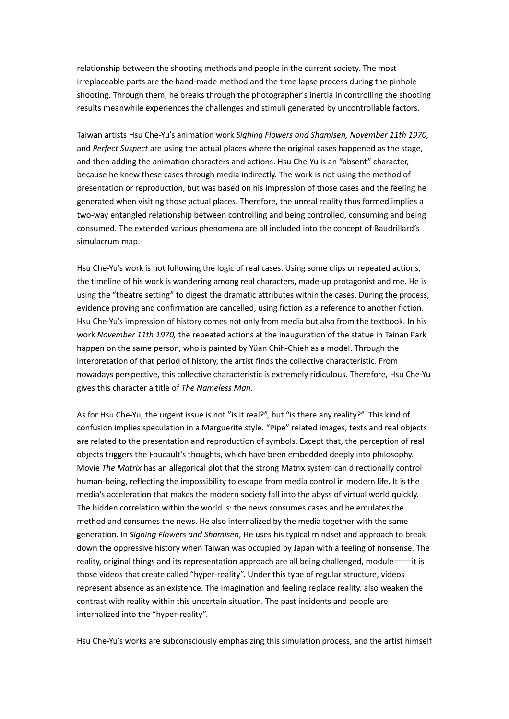relationship between the shooting methods and people in the current society. The most irreplaceable parts are the hand-made method and the time lapse process during the pinhole shooting. Through them, he breaks through the photographer's inertia in controlling the shooting results meanwhile experiences the challenges and stimuli generated by uncontrollable factors.

Taiwan artists Hsu Che-Yu's animation work *Sighing Flowers and Shamisen, November 11th 1970,* and *Perfect Suspect* are using the actual places where the original cases happened as the stage, and then adding the animation characters and actions. Hsu Che-Yu is an "absent" character, because he knew these cases through media indirectly. The work is not using the method of presentation or reproduction, but was based on his impression of those cases and the feeling he generated when visiting those actual places. Therefore, the unreal reality thus formed implies a two-way entangled relationship between controlling and being controlled, consuming and being consumed. The extended various phenomena are all included into the concept of Baudrillard's simulacrum map.

Hsu Che-Yu's work is not following the logic of real cases. Using some clips or repeated actions, the timeline of his work is wandering among real characters, made-up protagonist and me. He is using the "theatre setting" to digest the dramatic attributes within the cases. During the process, evidence proving and confirmation are cancelled, using fiction as a reference to another fiction. Hsu Che-Yu's impression of history comes not only from media but also from the textbook. In his work *November 11th 1970,* the repeated actions at the inauguration of the statue in Tainan Park happen on the same person, who is painted by Yüan Chih-Chieh as a model. Through the interpretation of that period of history, the artist finds the collective characteristic. From nowadays perspective, this collective characteristic is extremely ridiculous. Therefore, Hsu Che-Yu gives this character a title of *The Nameless Man*.

As for Hsu Che-Yu, the urgent issue is not "is it real?", but "is there any reality?". This kind of confusion implies speculation in a Marguerite style. "Pipe" related images, texts and real objects are related to the presentation and reproduction of symbols. Except that, the perception of real objects triggers the Foucault's thoughts, which have been embedded deeply into philosophy. Movie *The Matrix* has an allegorical plot that the strong Matrix system can directionally control human-being, reflecting the impossibility to escape from media control in modern life. It is the media's acceleration that makes the modern society fall into the abyss of virtual world quickly. The hidden correlation within the world is: the news consumes cases and he emulates the method and consumes the news. He also internalized by the media together with the same generation. In *Sighing Flowers and Shamisen*, He uses his typical mindset and approach to break down the oppressive history when Taiwan was occupied by Japan with a feeling of nonsense. The reality, original things and its representation approach are all being challenged, module——it is those videos that create called "hyper-reality". Under this type of regular structure, videos represent absence as an existence. The imagination and feeling replace reality, also weaken the contrast with reality within this uncertain situation. The past incidents and people are internalized into the "hyper-reality".

Hsu Che-Yu's works are subconsciously emphasizing this simulation process, and the artist himself